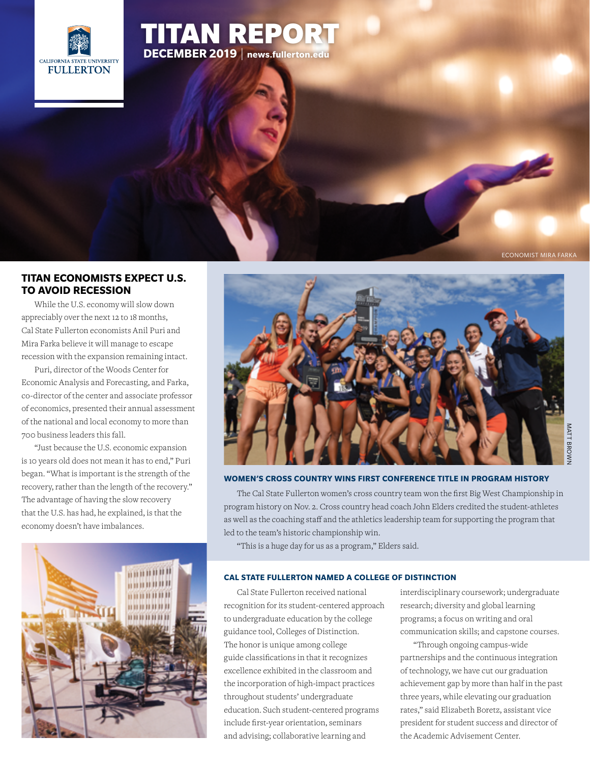

# [TITAN REPORT](http://news.fullerton.edu/2019fa/Economists-Predict-No-Recession-Fall-2019.aspx) **DECEMBER 2019** | **<news.fullerton.edu>**

ECONOMIST MIRA FARKA

# **[TITAN ECONOMISTS EXPECT U.S.](http://news.fullerton.edu/2019fa/Economists-Predict-No-Recession-Fall-2019.aspx)  TO AVOID RECESSION**

While the U.S. economy will slow down appreciably over the next 12 to 18 months, Cal State Fullerton economists Anil Puri and Mira Farka believe it will manage to escape recession with the expansion remaining intact.

Puri, director of the Woods Center for Economic Analysis and Forecasting, and Farka, co-director of the center and associate professor of economics, presented their annual assessment of the national and local economy to more than 700 business leaders this fall.

"Just because the U.S. economic expansion is 10 years old does not mean it has to end," Puri began. "What is important is the strength of the recovery, rather than the length of the recovery." The advantage of having the slow recovery that the U.S. has had, he explained, is that the economy doesn't have imbalances.





### **WOMEN'S CROSS COUNTRY WINS FIRST CONFERENCE TITLE IN PROGRAM HISTORY**

The Cal State Fullerton women's cross country team won the first Big West Championship in [program history on Nov. 2. Cross country head coach John Elders credited the student-athletes](http://news.fullerton.edu/2019wi/csuf-bigwest-champions.aspx)  as well as the coaching staff and the athletics leadership team for supporting the program that led to the team's historic championship win.

"This is a huge day for us as a program," Elders said.

#### **[CAL STATE FULLERTON NAMED A COLLEGE OF DISTINCTION](http://news.fullerton.edu/2019fa/CSUF-Named-College-of-Distinction.aspx)**

Cal State Fullerton received national recognition for its student-centered approach to undergraduate education by the college guidance tool, Colleges of Distinction. The honor is unique among college guide classifications in that it recognizes excellence exhibited in the classroom and the incorporation of high-impact practices throughout students' undergraduate education. Such student-centered programs include first-year orientation, seminars and advising; collaborative learning and

interdisciplinary coursework; undergraduate research; diversity and global learning programs; a focus on writing and oral communication skills; and capstone courses.

"Through ongoing campus-wide partnerships and the continuous integration of technology, we have cut our graduation achievement gap by more than half in the past three years, while elevating our graduation rates," said Elizabeth Boretz, assistant vice president for student success and director of the Academic Advisement Center.